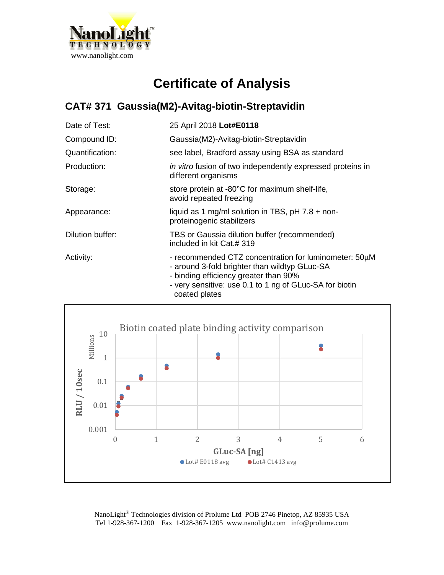

## **Certificate of Analysis**

## **CAT# 371 Gaussia(M2)-Avitag-biotin-Streptavidin**

| Date of Test:    | 25 April 2018 Lot#E0118                                                                                                                                                                                                     |
|------------------|-----------------------------------------------------------------------------------------------------------------------------------------------------------------------------------------------------------------------------|
| Compound ID:     | Gaussia(M2)-Avitag-biotin-Streptavidin                                                                                                                                                                                      |
| Quantification:  | see label, Bradford assay using BSA as standard                                                                                                                                                                             |
| Production:      | in vitro fusion of two independently expressed proteins in<br>different organisms                                                                                                                                           |
| Storage:         | store protein at -80°C for maximum shelf-life,<br>avoid repeated freezing                                                                                                                                                   |
| Appearance:      | liquid as 1 mg/ml solution in TBS, $pH$ 7.8 + non-<br>proteinogenic stabilizers                                                                                                                                             |
| Dilution buffer: | TBS or Gaussia dilution buffer (recommended)<br>included in kit Cat.# 319                                                                                                                                                   |
| Activity:        | - recommended CTZ concentration for luminometer: 50µM<br>- around 3-fold brighter than wildtyp GLuc-SA<br>- binding efficiency greater than 90%<br>- very sensitive: use 0.1 to 1 ng of GLuc-SA for biotin<br>coated plates |



NanoLight® Technologies division of Prolume Ltd POB 2746 Pinetop, AZ 85935 USA Tel 1-928-367-1200 Fax 1-928-367-1205 www.nanolight.com info@prolume.com